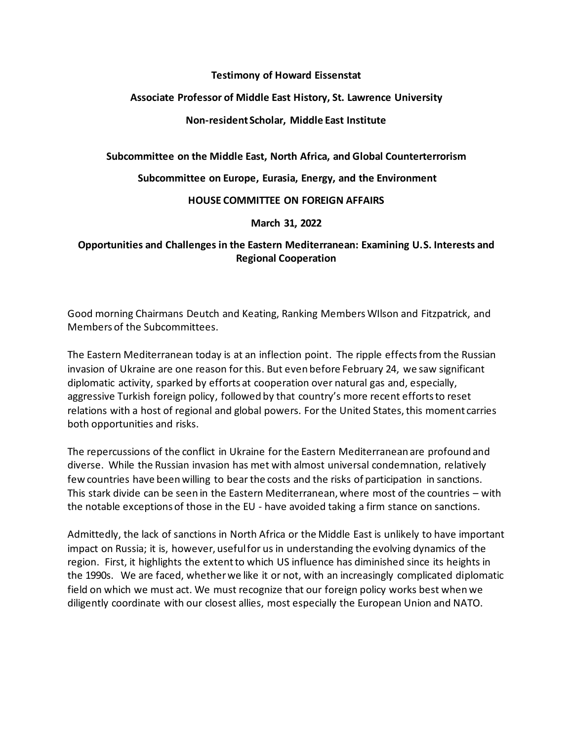### **Testimony of Howard Eissenstat**

## **Associate Professor of Middle East History, St. Lawrence University**

### **Non-resident Scholar, Middle East Institute**

**Subcommittee on the Middle East, North Africa, and Global Counterterrorism**

**Subcommittee on Europe, Eurasia, Energy, and the Environment**

#### **HOUSE COMMITTEE ON FOREIGN AFFAIRS**

**March 31, 2022**

# **[Opportunities and Challenges in the Eastern Mediterranean: Examining U.S. Interests and](https://foreignaffairs.house.gov/hearings?ID=CEA2B0D5-137D-4A63-90A2-CD643C816B0C)  [Regional Cooperation](https://foreignaffairs.house.gov/hearings?ID=CEA2B0D5-137D-4A63-90A2-CD643C816B0C)**

Good morning Chairmans Deutch and Keating, Ranking Members WIlson and Fitzpatrick, and Members of the Subcommittees.

The Eastern Mediterranean today is at an inflection point. The ripple effects from the Russian invasion of Ukraine are one reason for this. But even before February 24, we saw significant diplomatic activity, sparked by efforts at cooperation over natural gas and, especially, aggressive Turkish foreign policy, followed by that country's more recent efforts to reset relations with a host of regional and global powers. For the United States, this moment carries both opportunities and risks.

The repercussions of the conflict in Ukraine for the Eastern Mediterranean are profound and diverse. While the Russian invasion has met with almost universal condemnation, relatively few countries have been willing to bear the costs and the risks of participation in sanctions. This stark divide can be seen in the Eastern Mediterranean, where most of the countries – with the notable exceptions of those in the EU - have avoided taking a firm stance on sanctions.

Admittedly, the lack of sanctions in North Africa or the Middle East is unlikely to have important impact on Russia; it is, however, useful for us in understanding the evolving dynamics of the region. First, it highlights the extent to which US influence has diminished since its heights in the 1990s. We are faced, whether we like it or not, with an increasingly complicated diplomatic field on which we must act. We must recognize that our foreign policy works best when we diligently coordinate with our closest allies, most especially the European Union and NATO.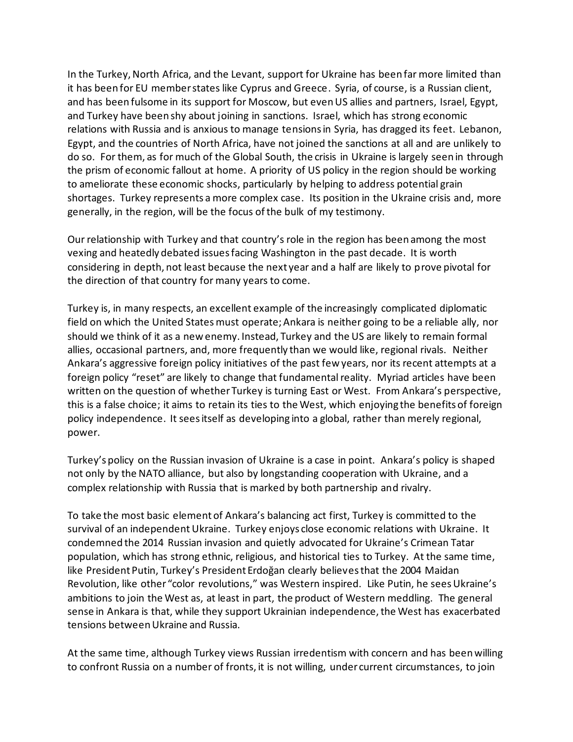In the Turkey, North Africa, and the Levant, support for Ukraine has been far more limited than it has been for EU member states like Cyprus and Greece. Syria, of course, is a Russian client, and has been fulsome in its support for Moscow, but even US allies and partners, Israel, Egypt, and Turkey have been shy about joining in sanctions. Israel, which has strong economic relations with Russia and is anxious to manage tensions in Syria, has dragged its feet. Lebanon, Egypt, and the countries of North Africa, have not joined the sanctions at all and are unlikely to do so. For them, as for much of the Global South, the crisis in Ukraine is largely seen in through the prism of economic fallout at home. A priority of US policy in the region should be working to ameliorate these economic shocks, particularly by helping to address potential grain shortages. Turkey represents a more complex case. Its position in the Ukraine crisis and, more generally, in the region, will be the focus of the bulk of my testimony.

Our relationship with Turkey and that country's role in the region has been among the most vexing and heatedly debated issues facing Washington in the past decade. It is worth considering in depth, not least because the next year and a half are likely to prove pivotal for the direction of that country for many years to come.

Turkey is, in many respects, an excellent example of the increasingly complicated diplomatic field on which the United States must operate; Ankara is neither going to be a reliable ally, nor should we think of it as a new enemy. Instead, Turkey and the US are likely to remain formal allies, occasional partners, and, more frequently than we would like, regional rivals. Neither Ankara's aggressive foreign policy initiatives of the past few years, nor its recent attempts at a foreign policy "reset" are likely to change that fundamental reality. Myriad articles have been written on the question of whether Turkey is turning East or West. From Ankara's perspective, this is a false choice; it aims to retain its ties to the West, which enjoying the benefits of foreign policy independence. It sees itself as developing into a global, rather than merely regional, power.

Turkey's policy on the Russian invasion of Ukraine is a case in point. Ankara's policy is shaped not only by the NATO alliance, but also by longstanding cooperation with Ukraine, and a complex relationship with Russia that is marked by both partnership and rivalry.

To take the most basic element of Ankara's balancing act first, Turkey is committed to the survival of an independent Ukraine. Turkey enjoys close economic relations with Ukraine. It condemned the 2014 Russian invasion and quietly advocated for Ukraine's Crimean Tatar population, which has strong ethnic, religious, and historical ties to Turkey. At the same time, like President Putin, Turkey's President Erdoğan clearly believesthat the 2004 Maidan Revolution, like other "color revolutions," was Western inspired. Like Putin, he sees Ukraine's ambitions to join the West as, at least in part, the product of Western meddling. The general sense in Ankara is that, while they support Ukrainian independence, the West has exacerbated tensions between Ukraine and Russia.

At the same time, although Turkey views Russian irredentism with concern and has been willing to confront Russia on a number of fronts, it is not willing, under current circumstances, to join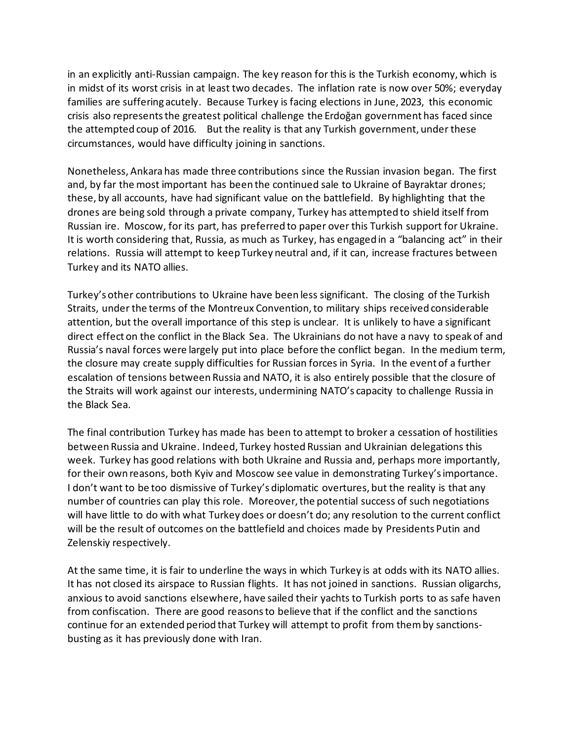in an explicitly anti-Russian campaign. The key reason for this is the Turkish economy, which is in midst of its worst crisis in at least two decades. The inflation rate is now over 50%; everyday families are suffering acutely. Because Turkey is facing elections in June, 2023, this economic crisis also represents the greatest political challenge the Erdoğan government has faced since the attempted coup of 2016. But the reality is that any Turkish government, under these circumstances, would have difficulty joining in sanctions.

Nonetheless, Ankarahas made three contributions since the Russian invasion began. The first and, by far the most important has been the continued sale to Ukraine of Bayraktar drones; these, by all accounts, have had significant value on the battlefield. By highlighting that the drones are being sold through a private company, Turkey has attempted to shield itself from Russian ire. Moscow, for its part, has preferred to paper over this Turkish support for Ukraine. It is worth considering that, Russia, as much as Turkey, has engaged in a "balancing act" in their relations. Russia will attempt to keep Turkey neutral and, if it can, increase fractures between Turkey and its NATO allies.

Turkey's other contributions to Ukraine have been less significant. The closing of the Turkish Straits, under the terms of the Montreux Convention, to military ships received considerable attention, but the overall importance of this step is unclear. It is unlikely to have a significant direct effect on the conflict in the Black Sea. The Ukrainians do not have a navy to speak of and Russia's naval forces were largely put into place before the conflict began. In the medium term, the closure may create supply difficulties for Russian forces in Syria. In the event of a further escalation of tensions between Russia and NATO, it is also entirely possible that the closure of the Straits will work against our interests, undermining NATO's capacity to challenge Russia in the Black Sea.

The final contribution Turkey has made has been to attempt to broker a cessation of hostilities between Russia and Ukraine. Indeed, Turkey hosted Russian and Ukrainian delegations this week. Turkey has good relations with both Ukraine and Russia and, perhaps more importantly, for their own reasons, both Kyiv and Moscow see value in demonstrating Turkey's importance. I don't want to be too dismissive of Turkey's diplomatic overtures, but the reality is that any number of countries can play this role. Moreover, the potential success of such negotiations will have little to do with what Turkey does or doesn't do; any resolution to the current conflict will be the result of outcomes on the battlefield and choices made by Presidents Putin and Zelenskiy respectively.

At the same time, it is fair to underline the ways in which Turkey is at odds with its NATO allies. It has not closed its airspace to Russian flights. It has not joined in sanctions. Russian oligarchs, anxious to avoid sanctions elsewhere, have sailed their yachts to Turkish ports to as safe haven from confiscation. There are good reasons to believe that if the conflict and the sanctions continue for an extended period that Turkey will attempt to profit from them by sanctionsbusting as it has previously done with Iran.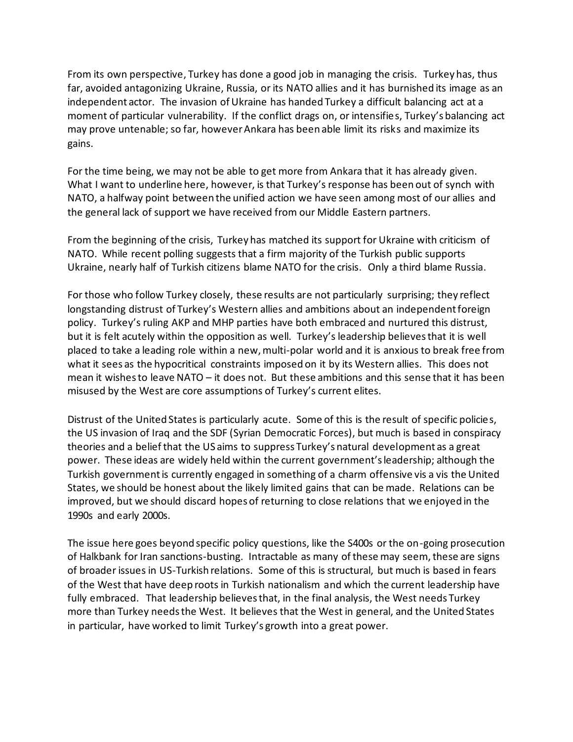From its own perspective, Turkey has done a good job in managing the crisis. Turkey has, thus far, avoided antagonizing Ukraine, Russia, or its NATO allies and it has burnished its image as an independent actor. The invasion of Ukraine has handed Turkey a difficult balancing act at a moment of particular vulnerability. If the conflict drags on, or intensifies, Turkey's balancing act may prove untenable; so far, however Ankara has been able limit its risks and maximize its gains.

For the time being, we may not be able to get more from Ankara that it has already given. What I want to underline here, however, is that Turkey's response has been out of synch with NATO, a halfway point between the unified action we have seen among most of our allies and the general lack of support we have received from our Middle Eastern partners.

From the beginning of the crisis, Turkey has matched its support for Ukraine with criticism of NATO. While recent polling suggests that a firm majority of the Turkish public supports Ukraine, nearly half of Turkish citizens blame NATO for the crisis. Only a third blame Russia.

For those who follow Turkey closely, these results are not particularly surprising; they reflect longstanding distrust of Turkey's Western allies and ambitions about an independent foreign policy. Turkey's ruling AKP and MHP parties have both embraced and nurtured this distrust, but it is felt acutely within the opposition as well. Turkey's leadership believes that it is well placed to take a leading role within a new, multi-polar world and it is anxious to break free from what it sees as the hypocritical constraints imposed on it by its Western allies. This does not mean it wishes to leave NATO – it does not. But these ambitions and this sense that it has been misused by the West are core assumptions of Turkey's current elites.

Distrust of the United States is particularly acute. Some of this is the result of specific policies, the US invasion of Iraq and the SDF (Syrian Democratic Forces), but much is based in conspiracy theories and a belief that the US aims to suppress Turkey's natural development as a great power. These ideas are widely held within the current government's leadership; although the Turkish government is currently engaged in something of a charm offensive vis a vis the United States, we should be honest about the likely limited gains that can be made. Relations can be improved, but we should discard hopes of returning to close relations that we enjoyed in the 1990s and early 2000s.

The issue here goes beyond specific policy questions, like the S400s or the on-going prosecution of Halkbank for Iran sanctions-busting. Intractable as many of these may seem, these are signs of broader issues in US-Turkish relations. Some of this is structural, but much is based in fears of the West that have deep roots in Turkish nationalism and which the current leadership have fully embraced. That leadership believes that, in the final analysis, the West needs Turkey more than Turkey needs the West. It believes that the West in general, and the United States in particular, have worked to limit Turkey's growth into a great power.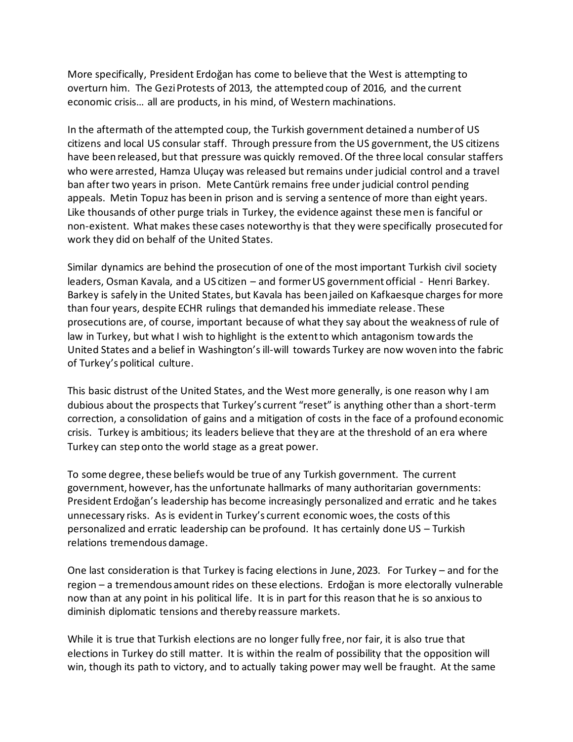More specifically, President Erdoğan has come to believe that the West is attempting to overturn him. The Gezi Protests of 2013, the attempted coup of 2016, and the current economic crisis… all are products, in his mind, of Western machinations.

In the aftermath of the attempted coup, the Turkish government detained a number of US citizens and local US consular staff. Through pressure from the US government, the US citizens have been released, but that pressure was quickly removed. Of the three local consular staffers who were arrested, Hamza Uluçay was released but remains under judicial control and a travel ban after two years in prison. Mete Cantürk remains free under judicial control pending appeals. Metin Topuz has been in prison and is serving a sentence of more than eight years. Like thousands of other purge trials in Turkey, the evidence against these men is fanciful or non-existent. What makes these cases noteworthy is that they were specifically prosecuted for work they did on behalf of the United States.

Similar dynamics are behind the prosecution of one of the most important Turkish civil society leaders, Osman Kavala, and a US citizen – and former US government official - Henri Barkey. Barkey is safely in the United States, but Kavala has been jailed on Kafkaesque charges for more than four years, despite ECHR rulings that demanded his immediate release. These prosecutions are, of course, important because of what they say about the weakness of rule of law in Turkey, but what I wish to highlight is the extent to which antagonism towards the United States and a belief in Washington's ill-will towards Turkey are now woven into the fabric of Turkey's political culture.

This basic distrust of the United States, and the West more generally, is one reason why I am dubious about the prospects that Turkey's current "reset" is anything other than a short-term correction, a consolidation of gains and a mitigation of costs in the face of a profound economic crisis. Turkey is ambitious; its leaders believe that they are at the threshold of an era where Turkey can step onto the world stage as a great power.

To some degree, these beliefs would be true of any Turkish government. The current government, however, has the unfortunate hallmarks of many authoritarian governments: President Erdoğan's leadership has become increasingly personalized and erratic and he takes unnecessary risks. As is evident in Turkey's current economic woes, the costs of this personalized and erratic leadership can be profound. It has certainly done US – Turkish relations tremendous damage.

One last consideration is that Turkey is facing elections in June, 2023. For Turkey – and for the region – a tremendous amount rides on these elections. Erdoğan is more electorally vulnerable now than at any point in his political life. It is in part for this reason that he is so anxious to diminish diplomatic tensions and thereby reassure markets.

While it is true that Turkish elections are no longer fully free, nor fair, it is also true that elections in Turkey do still matter. It is within the realm of possibility that the opposition will win, though its path to victory, and to actually taking power may well be fraught. At the same